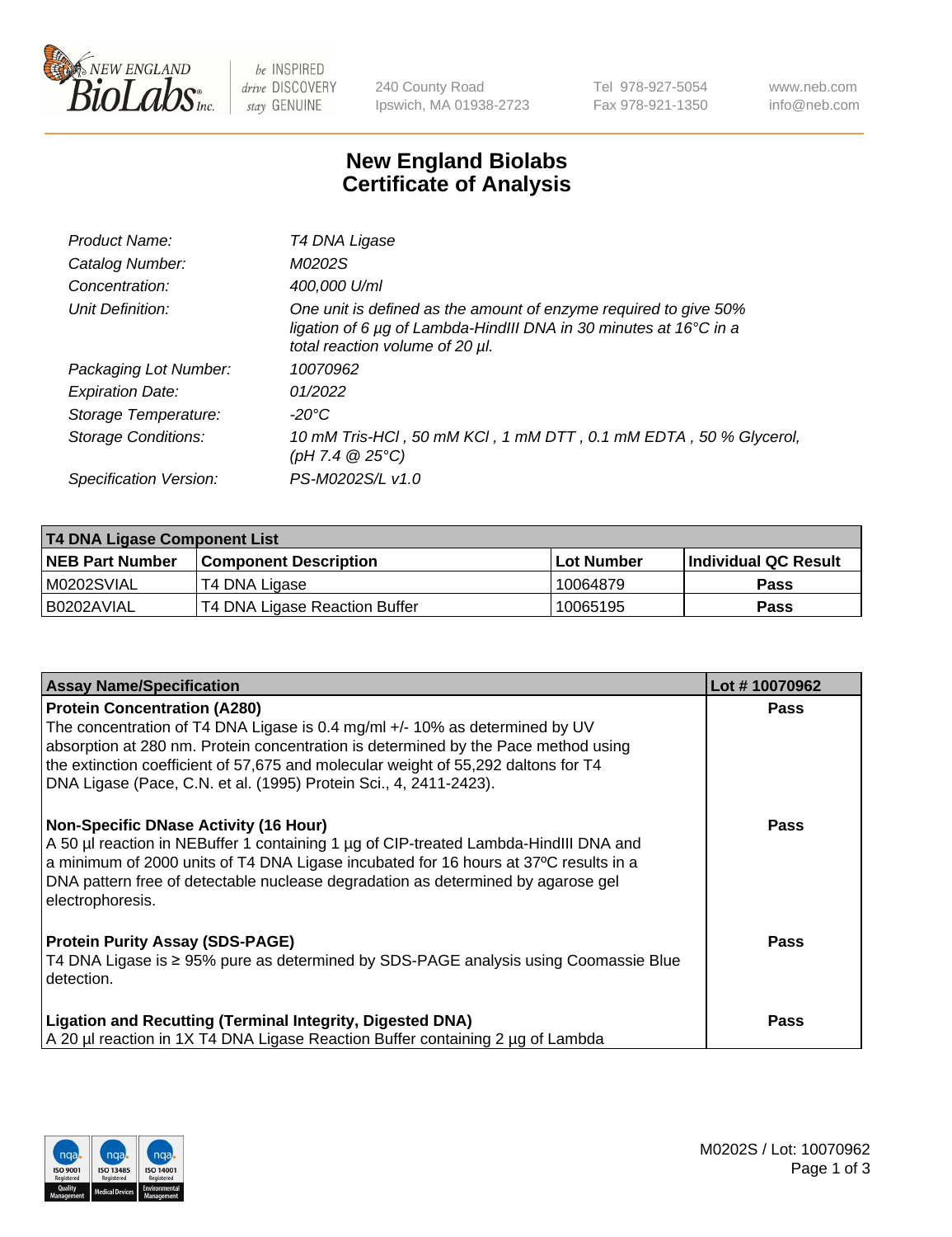

 $be$  INSPIRED drive DISCOVERY stay GENUINE

240 County Road Ipswich, MA 01938-2723 Tel 978-927-5054 Fax 978-921-1350 www.neb.com info@neb.com

## **New England Biolabs Certificate of Analysis**

| Product Name:           | T4 DNA Ligase                                                                                                                                                            |
|-------------------------|--------------------------------------------------------------------------------------------------------------------------------------------------------------------------|
| Catalog Number:         | M0202S                                                                                                                                                                   |
| Concentration:          | 400,000 U/ml                                                                                                                                                             |
| Unit Definition:        | One unit is defined as the amount of enzyme required to give 50%<br>ligation of 6 µg of Lambda-HindIII DNA in 30 minutes at 16°C in a<br>total reaction volume of 20 µl. |
| Packaging Lot Number:   | 10070962                                                                                                                                                                 |
| <b>Expiration Date:</b> | 01/2022                                                                                                                                                                  |
| Storage Temperature:    | -20°C                                                                                                                                                                    |
| Storage Conditions:     | 10 mM Tris-HCl, 50 mM KCl, 1 mM DTT, 0.1 mM EDTA, 50 % Glycerol,<br>(pH 7.4 $@25°C$ )                                                                                    |
| Specification Version:  | PS-M0202S/L v1.0                                                                                                                                                         |

| <b>T4 DNA Ligase Component List</b> |                               |            |                             |  |
|-------------------------------------|-------------------------------|------------|-----------------------------|--|
| <b>NEB Part Number</b>              | <b>Component Description</b>  | Lot Number | <b>Individual QC Result</b> |  |
| M0202SVIAL                          | T4 DNA Ligase                 | 10064879   | <b>Pass</b>                 |  |
| I B0202AVIAL                        | T4 DNA Ligase Reaction Buffer | 10065195   | <b>Pass</b>                 |  |

| <b>Assay Name/Specification</b>                                                                                                                                                                                                                                                                                                      | Lot #10070962 |
|--------------------------------------------------------------------------------------------------------------------------------------------------------------------------------------------------------------------------------------------------------------------------------------------------------------------------------------|---------------|
| <b>Protein Concentration (A280)</b><br>The concentration of T4 DNA Ligase is 0.4 mg/ml +/- 10% as determined by UV<br>absorption at 280 nm. Protein concentration is determined by the Pace method using                                                                                                                             | <b>Pass</b>   |
| the extinction coefficient of 57,675 and molecular weight of 55,292 daltons for T4<br>DNA Ligase (Pace, C.N. et al. (1995) Protein Sci., 4, 2411-2423).                                                                                                                                                                              |               |
| <b>Non-Specific DNase Activity (16 Hour)</b><br>A 50 µl reaction in NEBuffer 1 containing 1 µg of CIP-treated Lambda-HindIII DNA and<br>a minimum of 2000 units of T4 DNA Ligase incubated for 16 hours at 37°C results in a<br>DNA pattern free of detectable nuclease degradation as determined by agarose gel<br>electrophoresis. | <b>Pass</b>   |
| <b>Protein Purity Assay (SDS-PAGE)</b><br>T4 DNA Ligase is ≥ 95% pure as determined by SDS-PAGE analysis using Coomassie Blue<br>detection.                                                                                                                                                                                          | <b>Pass</b>   |
| <b>Ligation and Recutting (Terminal Integrity, Digested DNA)</b><br>A 20 µl reaction in 1X T4 DNA Ligase Reaction Buffer containing 2 µg of Lambda                                                                                                                                                                                   | Pass          |

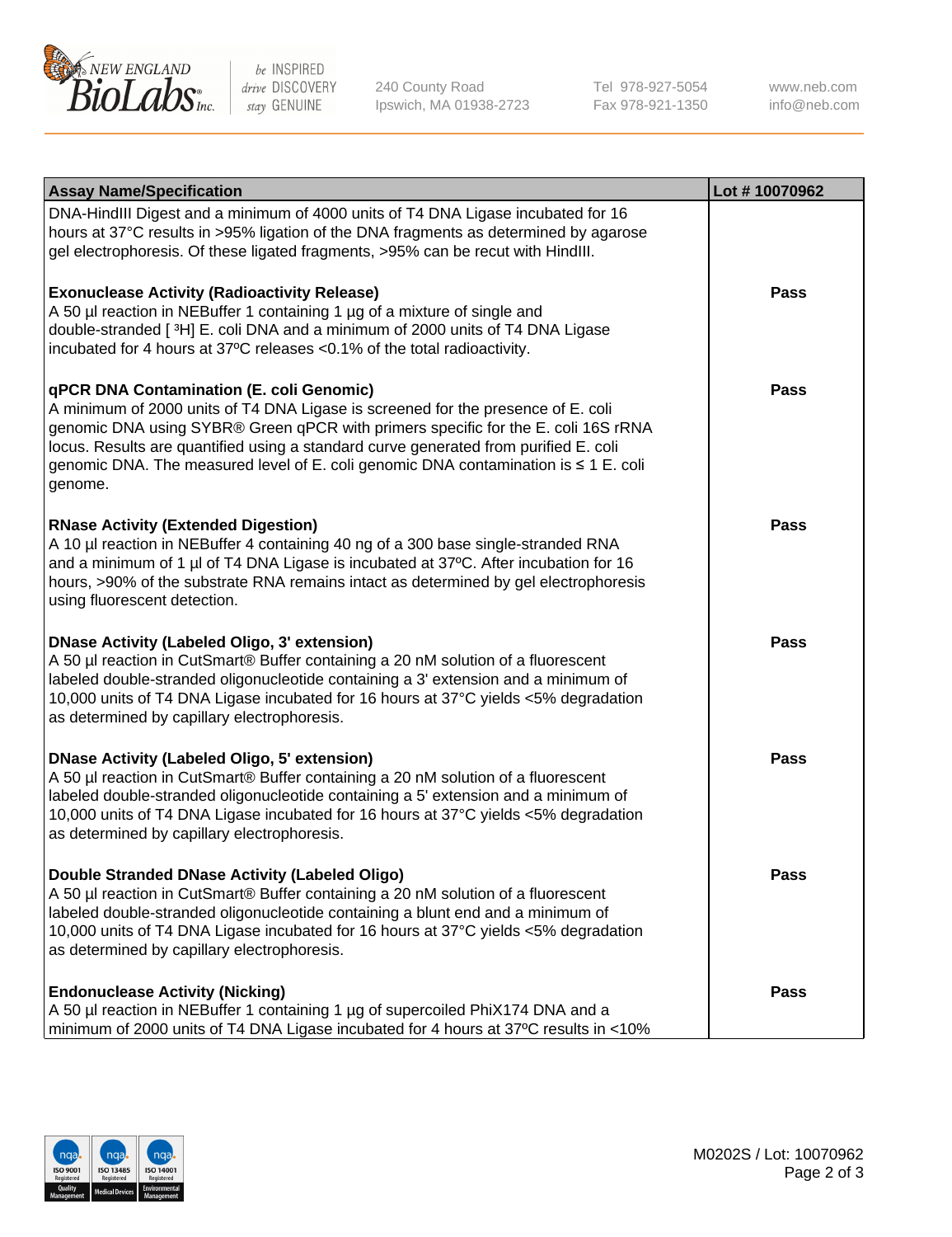

be INSPIRED drive DISCOVERY stay GENUINE

240 County Road Ipswich, MA 01938-2723 Tel 978-927-5054 Fax 978-921-1350 www.neb.com info@neb.com

| <b>Assay Name/Specification</b>                                                                                                                                                                                                                                                                                                                                                                             | Lot #10070962 |
|-------------------------------------------------------------------------------------------------------------------------------------------------------------------------------------------------------------------------------------------------------------------------------------------------------------------------------------------------------------------------------------------------------------|---------------|
| DNA-HindIII Digest and a minimum of 4000 units of T4 DNA Ligase incubated for 16<br>hours at 37°C results in >95% ligation of the DNA fragments as determined by agarose<br>gel electrophoresis. Of these ligated fragments, >95% can be recut with HindIII.                                                                                                                                                |               |
| <b>Exonuclease Activity (Radioactivity Release)</b><br>A 50 µl reaction in NEBuffer 1 containing 1 µg of a mixture of single and<br>double-stranded [3H] E. coli DNA and a minimum of 2000 units of T4 DNA Ligase<br>incubated for 4 hours at 37°C releases <0.1% of the total radioactivity.                                                                                                               | Pass          |
| qPCR DNA Contamination (E. coli Genomic)<br>A minimum of 2000 units of T4 DNA Ligase is screened for the presence of E. coli<br>genomic DNA using SYBR® Green qPCR with primers specific for the E. coli 16S rRNA<br>locus. Results are quantified using a standard curve generated from purified E. coli<br>genomic DNA. The measured level of E. coli genomic DNA contamination is ≤ 1 E. coli<br>genome. | Pass          |
| <b>RNase Activity (Extended Digestion)</b><br>A 10 µl reaction in NEBuffer 4 containing 40 ng of a 300 base single-stranded RNA<br>and a minimum of 1 µl of T4 DNA Ligase is incubated at 37°C. After incubation for 16<br>hours, >90% of the substrate RNA remains intact as determined by gel electrophoresis<br>using fluorescent detection.                                                             | Pass          |
| <b>DNase Activity (Labeled Oligo, 3' extension)</b><br>A 50 µl reaction in CutSmart® Buffer containing a 20 nM solution of a fluorescent<br>labeled double-stranded oligonucleotide containing a 3' extension and a minimum of<br>10,000 units of T4 DNA Ligase incubated for 16 hours at 37°C yields <5% degradation<br>as determined by capillary electrophoresis.                                        | <b>Pass</b>   |
| <b>DNase Activity (Labeled Oligo, 5' extension)</b><br>A 50 µl reaction in CutSmart® Buffer containing a 20 nM solution of a fluorescent<br>labeled double-stranded oligonucleotide containing a 5' extension and a minimum of<br>10,000 units of T4 DNA Ligase incubated for 16 hours at 37°C yields <5% degradation<br>as determined by capillary electrophoresis.                                        | Pass          |
| <b>Double Stranded DNase Activity (Labeled Oligo)</b><br>A 50 µl reaction in CutSmart® Buffer containing a 20 nM solution of a fluorescent<br>labeled double-stranded oligonucleotide containing a blunt end and a minimum of<br>10,000 units of T4 DNA Ligase incubated for 16 hours at 37°C yields <5% degradation<br>as determined by capillary electrophoresis.                                         | Pass          |
| <b>Endonuclease Activity (Nicking)</b><br>A 50 µl reaction in NEBuffer 1 containing 1 µg of supercoiled PhiX174 DNA and a<br>minimum of 2000 units of T4 DNA Ligase incubated for 4 hours at 37°C results in <10%                                                                                                                                                                                           | Pass          |